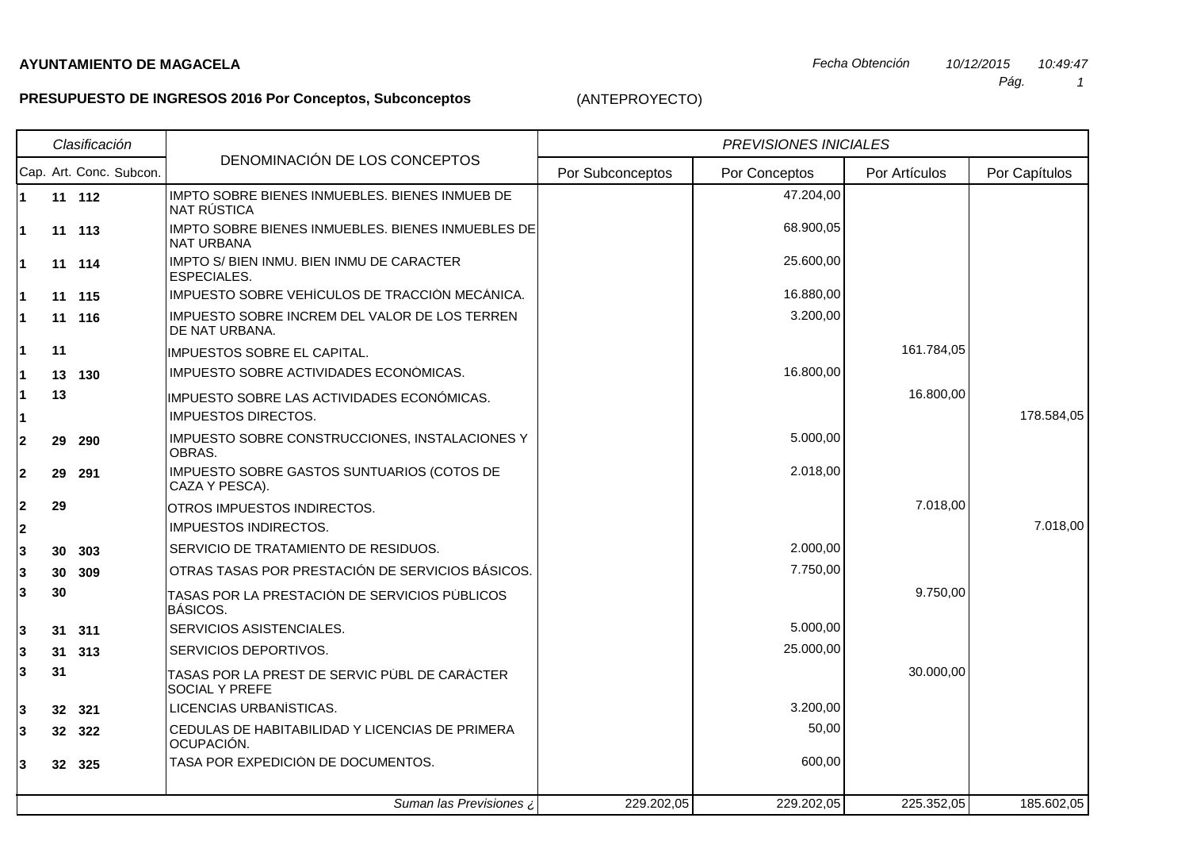## **PRESUPUESTO DE INGRESOS 2016 Por Conceptos, Subconceptos**

echa Obtención de 10/12/2015 de la contrada de la contrada de la contrada de la contrada de la contrada de la c<br>La contrada de la contrada de la contrada de la contrada de la contrada de la contrada de la contrada de la co 10:49:47

 1Pág.

| Clasificación  |           |                         |                                                                        | <b>PREVISIONES INICIALES</b> |               |               |               |
|----------------|-----------|-------------------------|------------------------------------------------------------------------|------------------------------|---------------|---------------|---------------|
|                |           | Cap. Art. Conc. Subcon. | DENOMINACIÓN DE LOS CONCEPTOS                                          | Por Subconceptos             | Por Conceptos | Por Artículos | Por Capítulos |
| 1              | 11 112    |                         | IMPTO SOBRE BIENES INMUEBLES. BIENES INMUEB DE<br>NAT RÚSTICA          |                              | 47.204,00     |               |               |
| 1              | 11 113    |                         | IMPTO SOBRE BIENES INMUEBLES. BIENES INMUEBLES DE<br><b>NAT URBANA</b> |                              | 68.900,05     |               |               |
| 1              | 11 114    |                         | IMPTO S/ BIEN INMU. BIEN INMU DE CARACTER<br>ESPECIALES.               |                              | 25.600,00     |               |               |
| 1              | 11 115    |                         | IMPUESTO SOBRE VEHICULOS DE TRACCION MECANICA.                         |                              | 16.880,00     |               |               |
| 1              | 11 116    |                         | IMPUESTO SOBRE INCREM DEL VALOR DE LOS TERREN<br>DE NAT URBANA.        |                              | 3.200,00      |               |               |
| 1              | 11        |                         | IMPUESTOS SOBRE EL CAPITAL.                                            |                              |               | 161.784,05    |               |
| 1              | 13 130    |                         | IMPUESTO SOBRE ACTIVIDADES ECONOMICAS.                                 |                              | 16.800,00     |               |               |
| 1              | 13        |                         | IMPUESTO SOBRE LAS ACTIVIDADES ECONOMICAS.                             |                              |               | 16.800,00     |               |
| 1              |           |                         | <b>IMPUESTOS DIRECTOS.</b>                                             |                              |               |               | 178.584,05    |
| 2              | 29<br>290 |                         | IMPUESTO SOBRE CONSTRUCCIONES, INSTALACIONES Y<br>OBRAS.               |                              | 5.000,00      |               |               |
| $\overline{2}$ | 29<br>291 |                         | IMPUESTO SOBRE GASTOS SUNTUARIOS (COTOS DE<br>CAZA Y PESCA).           |                              | 2.018,00      |               |               |
| 2              | 29        |                         | OTROS IMPUESTOS INDIRECTOS.                                            |                              |               | 7.018,00      |               |
| 2              |           |                         | <b>IMPUESTOS INDIRECTOS.</b>                                           |                              |               |               | 7.018,00      |
| 3              | 30 303    |                         | SERVICIO DE TRATAMIENTO DE RESIDUOS.                                   |                              | 2.000,00      |               |               |
| 3              | 30 309    |                         | OTRAS TASAS POR PRESTACIÓN DE SERVICIOS BÁSICOS.                       |                              | 7.750,00      |               |               |
| 3              | 30        |                         | TASAS POR LA PRESTACIÓN DE SERVICIOS PÚBLICOS<br><b>BÁSICOS.</b>       |                              |               | 9.750,00      |               |
| 3              | 31 311    |                         | SERVICIOS ASISTENCIALES.                                               |                              | 5.000,00      |               |               |
| 3              | 31 313    |                         | SERVICIOS DEPORTIVOS.                                                  |                              | 25.000,00     |               |               |
| 3              | 31        |                         | TASAS POR LA PREST DE SERVIC PÚBL DE CARÁCTER<br><b>SOCIAL Y PREFE</b> |                              |               | 30.000,00     |               |
| 3              | 32 321    |                         | LICENCIAS URBANÍSTICAS.                                                |                              | 3.200,00      |               |               |
| 3              | 32 322    |                         | CEDULAS DE HABITABILIDAD Y LICENCIAS DE PRIMERA<br>OCUPACIÓN.          |                              | 50,00         |               |               |
| 3              | 32 325    |                         | TASA POR EXPEDICIÓN DE DOCUMENTOS.                                     |                              | 600,00        |               |               |
|                |           |                         | Suman las Previsiones ¿                                                | 229.202,05                   | 229.202,05    | 225.352,05    | 185.602,05    |

(ANTEPROYECTO)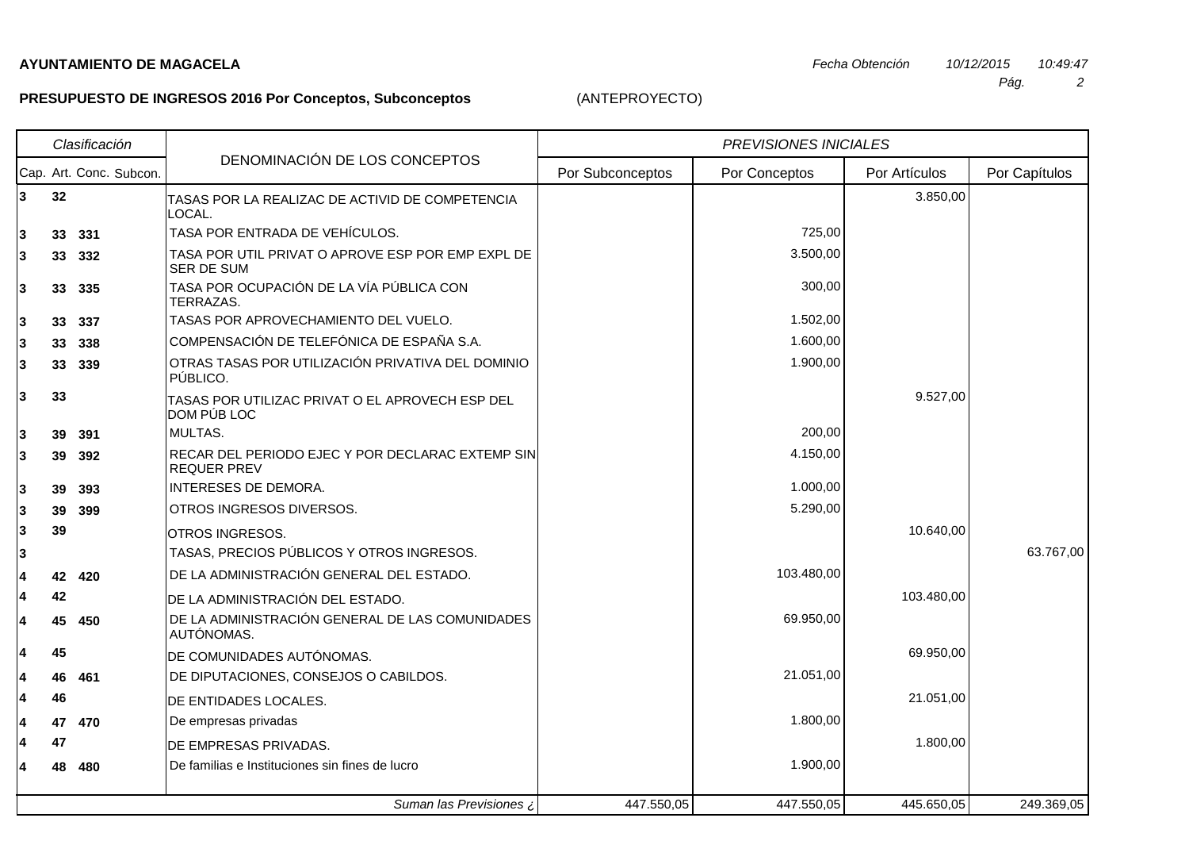## **AYUNTAMIENTO DE MAGACELA**

**3**

**3**

**3**

**3**

**3**

**3**

**3**

**3**

**3**

**3**

**3**

**3**

**3**

**3**

**4**

**4**

**4**

**4**

**4**

**4**

**4**

**4**

**4**

## **PRESUPUESTO DE INGRESOS 2016 Por Conceptos, Subconceptos**

AUTÓNOMAS.

(ANTEPROYECTO)

**<sup>39</sup>** OTROS INGRESOS. 10.640,00

**42** DE LA ADMINISTRACIÓN DEL ESTADO.

**<sup>45</sup>** DE COMUNIDADES AUTÓNOMAS. 69.950,00

**<sup>46</sup>** DE ENTIDADES LOCALES. 21.051,00

**47** DE EMPRESAS PRIVADAS. **1.800,00** 

**<sup>42</sup> <sup>420</sup>** DE LA ADMINISTRACIÓN GENERAL DEL ESTADO. 103.480,00

**45 450** DE LA ADMINISTRACIÓN GENERAL DE LAS COMUNIDADES **FOR SUBSEX 1999 120 COMUNIDADES** 

**<sup>46</sup> <sup>461</sup>** DE DIPUTACIONES, CONSEJOS O CABILDOS. 21.051,00

Suman las Previsiones ¿

**<sup>47</sup> <sup>470</sup>** De empresas privadas 1.800,00

| Clasificación |                         |                                                                        | <b>PREVISIONES INICIALES</b> |               |               |               |
|---------------|-------------------------|------------------------------------------------------------------------|------------------------------|---------------|---------------|---------------|
|               | Cap. Art. Conc. Subcon. | DENOMINACIÓN DE LOS CONCEPTOS                                          | Por Subconceptos             | Por Conceptos | Por Artículos | Por Capítulos |
| 3<br>32       |                         | TASAS POR LA REALIZAC DE ACTIVID DE COMPETENCIA<br>LOCAL.              |                              |               | 3.850,00      |               |
| 3             | 33 331                  | TASA POR ENTRADA DE VEHÍCULOS.                                         |                              | 725,00        |               |               |
| 3             | 33 332                  | TASA POR UTIL PRIVAT O APROVE ESP POR EMP EXPL DE<br>SER DE SUM        |                              | 3.500,00      |               |               |
| 3<br>33       | 335                     | TASA POR OCUPACIÓN DE LA VÍA PÚBLICA CON<br>TERRAZAS.                  |                              | 300,00        |               |               |
| 3<br>33       | -337                    | TASAS POR APROVECHAMIENTO DEL VUELO.                                   |                              | 1.502,00      |               |               |
| 3             | 33 338                  | COMPENSACIÓN DE TELEFÓNICA DE ESPAÑA S.A.                              |                              | 1.600,00      |               |               |
| 3<br>33       | 339                     | OTRAS TASAS POR UTILIZACIÓN PRIVATIVA DEL DOMINIO<br>PÚBLICO.          |                              | 1.900,00      |               |               |
| 3<br>33       |                         | TASAS POR UTILIZAC PRIVAT O EL APROVECH ESP DEL<br>DOM PÚB LOC         |                              |               | 9.527,00      |               |
| 3<br>39       | - 391                   | MULTAS.                                                                |                              | 200,00        |               |               |
| 3<br>39       | 392                     | RECAR DEL PERIODO EJEC Y POR DECLARAC EXTEMP SIN<br><b>REQUER PREV</b> |                              | 4.150,00      |               |               |
| 3<br>39       | 393                     | INTERESES DE DEMORA.                                                   |                              | 1.000,00      |               |               |
| 3<br>39       | 399                     | OTROS INGRESOS DIVERSOS.                                               |                              | 5.290,00      |               |               |
|               |                         |                                                                        |                              |               |               |               |

TASAS, PRECIOS PÚBLICOS Y OTROS INGRESOS. 63.767,00

2 Pág.

**<sup>48</sup> <sup>480</sup>** De familias e Instituciones sin fines de lucro 1.900,00

447.550,05 447.550,05 445.650,05 249.369,05